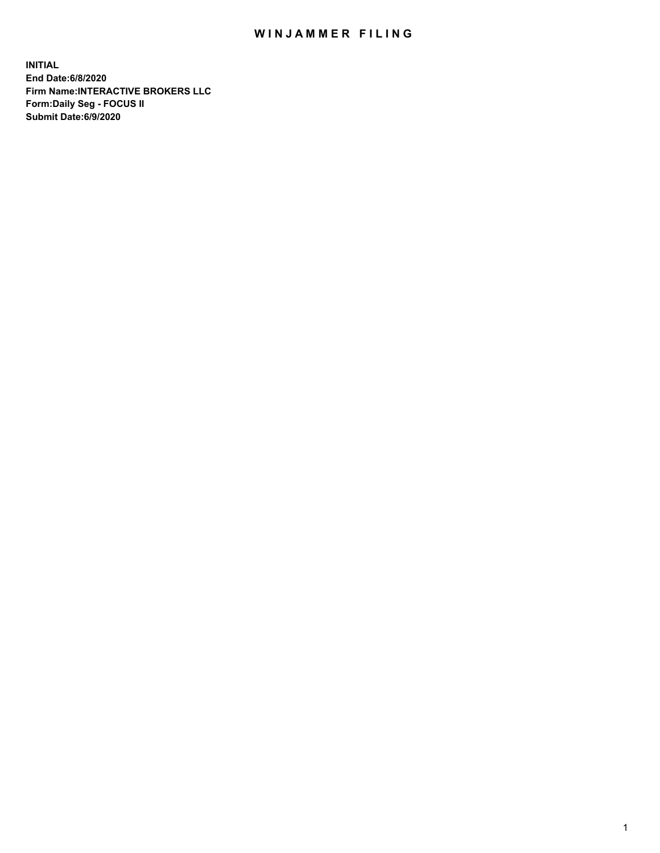## WIN JAMMER FILING

**INITIAL End Date:6/8/2020 Firm Name:INTERACTIVE BROKERS LLC Form:Daily Seg - FOCUS II Submit Date:6/9/2020**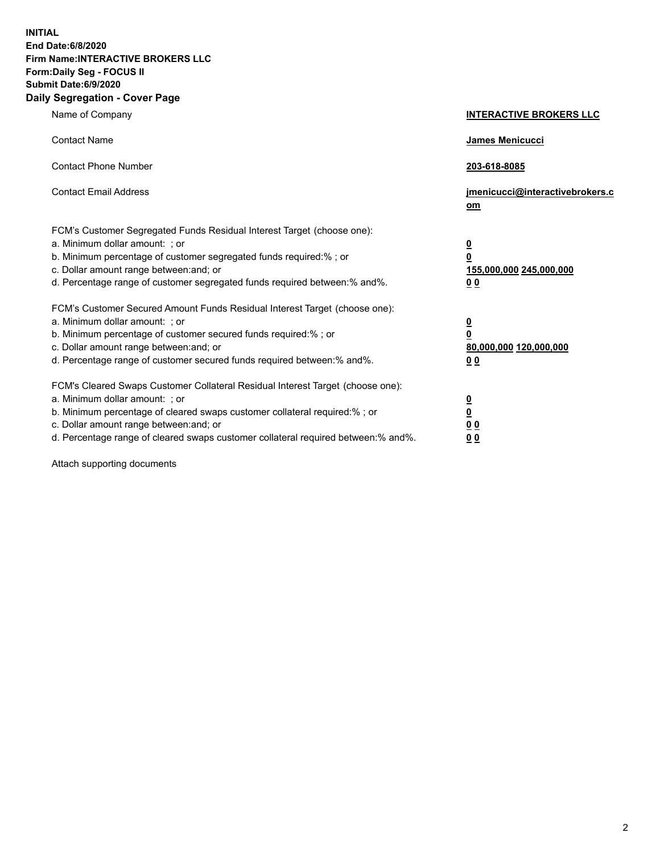**INITIAL End Date:6/8/2020 Firm Name:INTERACTIVE BROKERS LLC Form:Daily Seg - FOCUS II Submit Date:6/9/2020 Daily Segregation - Cover Page**

| Name of Company                                                                                                                                                                                                                                                                                                                | <b>INTERACTIVE BROKERS LLC</b>                                                                 |
|--------------------------------------------------------------------------------------------------------------------------------------------------------------------------------------------------------------------------------------------------------------------------------------------------------------------------------|------------------------------------------------------------------------------------------------|
| <b>Contact Name</b>                                                                                                                                                                                                                                                                                                            | James Menicucci                                                                                |
| <b>Contact Phone Number</b>                                                                                                                                                                                                                                                                                                    | 203-618-8085                                                                                   |
| <b>Contact Email Address</b>                                                                                                                                                                                                                                                                                                   | jmenicucci@interactivebrokers.c<br>om                                                          |
| FCM's Customer Segregated Funds Residual Interest Target (choose one):<br>a. Minimum dollar amount: ; or<br>b. Minimum percentage of customer segregated funds required:% ; or<br>c. Dollar amount range between: and; or<br>d. Percentage range of customer segregated funds required between: % and %.                       | $\overline{\mathbf{0}}$<br>$\overline{\mathbf{0}}$<br>155,000,000 245,000,000<br><u>00</u>     |
| FCM's Customer Secured Amount Funds Residual Interest Target (choose one):<br>a. Minimum dollar amount: ; or<br>b. Minimum percentage of customer secured funds required:%; or<br>c. Dollar amount range between: and; or<br>d. Percentage range of customer secured funds required between:% and%.                            | $\overline{\mathbf{0}}$<br>$\overline{\mathbf{0}}$<br>80,000,000 120,000,000<br>0 <sub>0</sub> |
| FCM's Cleared Swaps Customer Collateral Residual Interest Target (choose one):<br>a. Minimum dollar amount: ; or<br>b. Minimum percentage of cleared swaps customer collateral required:% ; or<br>c. Dollar amount range between: and; or<br>d. Percentage range of cleared swaps customer collateral required between:% and%. | $\frac{0}{0}$<br>$\underline{0}$ $\underline{0}$<br>0 <sub>0</sub>                             |

Attach supporting documents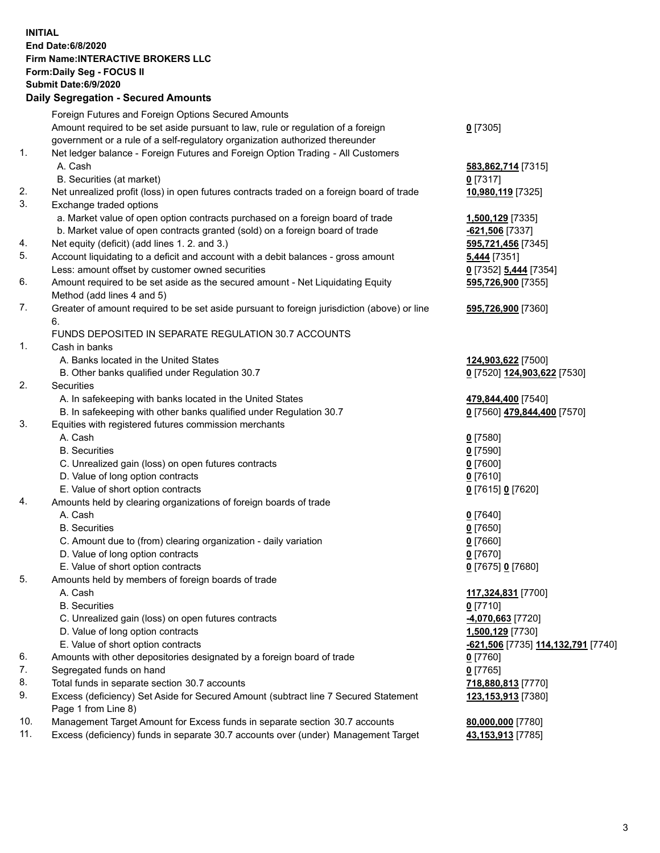## **INITIAL End Date:6/8/2020 Firm Name:INTERACTIVE BROKERS LLC Form:Daily Seg - FOCUS II Submit Date:6/9/2020 Daily Segregation - Secured Amounts**

|                | Dany Ocence and Tocourca Anivance                                                           |                                                  |
|----------------|---------------------------------------------------------------------------------------------|--------------------------------------------------|
|                | Foreign Futures and Foreign Options Secured Amounts                                         |                                                  |
|                | Amount required to be set aside pursuant to law, rule or regulation of a foreign            | $0$ [7305]                                       |
|                | government or a rule of a self-regulatory organization authorized thereunder                |                                                  |
| $\mathbf{1}$ . | Net ledger balance - Foreign Futures and Foreign Option Trading - All Customers             |                                                  |
|                | A. Cash                                                                                     | 583,862,714 [7315]                               |
|                | B. Securities (at market)                                                                   | $0$ [7317]                                       |
| 2.             | Net unrealized profit (loss) in open futures contracts traded on a foreign board of trade   | 10,980,119 [7325]                                |
| 3.             | Exchange traded options                                                                     |                                                  |
|                | a. Market value of open option contracts purchased on a foreign board of trade              | 1,500,129 [7335]                                 |
|                | b. Market value of open contracts granted (sold) on a foreign board of trade                | -621,506 [7337]                                  |
| 4.             | Net equity (deficit) (add lines 1. 2. and 3.)                                               | 595,721,456 [7345]                               |
| 5.             | Account liquidating to a deficit and account with a debit balances - gross amount           | 5,444 [7351]                                     |
|                | Less: amount offset by customer owned securities                                            | 0 [7352] 5,444 [7354]                            |
| 6.             | Amount required to be set aside as the secured amount - Net Liquidating Equity              | 595,726,900 [7355]                               |
|                | Method (add lines 4 and 5)                                                                  |                                                  |
| 7.             | Greater of amount required to be set aside pursuant to foreign jurisdiction (above) or line | 595,726,900 [7360]                               |
|                | 6.                                                                                          |                                                  |
| $\mathbf{1}$ . | FUNDS DEPOSITED IN SEPARATE REGULATION 30.7 ACCOUNTS<br>Cash in banks                       |                                                  |
|                | A. Banks located in the United States                                                       |                                                  |
|                |                                                                                             | 124,903,622 [7500]                               |
| 2.             | B. Other banks qualified under Regulation 30.7<br>Securities                                | 0 [7520] 124,903,622 [7530]                      |
|                | A. In safekeeping with banks located in the United States                                   | 479,844,400 [7540]                               |
|                | B. In safekeeping with other banks qualified under Regulation 30.7                          | 0 [7560] 479,844,400 [7570]                      |
| 3.             | Equities with registered futures commission merchants                                       |                                                  |
|                | A. Cash                                                                                     | $0$ [7580]                                       |
|                | <b>B.</b> Securities                                                                        | $0$ [7590]                                       |
|                | C. Unrealized gain (loss) on open futures contracts                                         | $0$ [7600]                                       |
|                | D. Value of long option contracts                                                           | $0$ [7610]                                       |
|                | E. Value of short option contracts                                                          | 0 [7615] 0 [7620]                                |
| 4.             | Amounts held by clearing organizations of foreign boards of trade                           |                                                  |
|                | A. Cash                                                                                     | $0$ [7640]                                       |
|                | <b>B.</b> Securities                                                                        | $0$ [7650]                                       |
|                | C. Amount due to (from) clearing organization - daily variation                             | $0$ [7660]                                       |
|                | D. Value of long option contracts                                                           | $0$ [7670]                                       |
|                | E. Value of short option contracts                                                          | 0 [7675] 0 [7680]                                |
| 5.             | Amounts held by members of foreign boards of trade                                          |                                                  |
|                | A. Cash                                                                                     | 117,324,831 [7700]                               |
|                | <b>B.</b> Securities                                                                        | $0$ [7710]                                       |
|                | C. Unrealized gain (loss) on open futures contracts                                         | -4,070,663 <sup>[7720]</sup>                     |
|                | D. Value of long option contracts                                                           | 1,500,129 [7730]                                 |
|                | E. Value of short option contracts                                                          | <u>-621,506</u> [7735] <u>114,132,791</u> [7740] |
| 6.             | Amounts with other depositories designated by a foreign board of trade                      | 0 [7760]                                         |
| 7.             | Segregated funds on hand                                                                    | $0$ [7765]                                       |
| 8.             | Total funds in separate section 30.7 accounts                                               | 718,880,813 [7770]                               |
| 9.             | Excess (deficiency) Set Aside for Secured Amount (subtract line 7 Secured Statement         | 123,153,913 [7380]                               |
|                | Page 1 from Line 8)                                                                         |                                                  |
| 10.            | Management Target Amount for Excess funds in separate section 30.7 accounts                 | 80,000,000 [7780]                                |
| 11.            | Excess (deficiency) funds in separate 30.7 accounts over (under) Management Target          | 43,153,913 [7785]                                |
|                |                                                                                             |                                                  |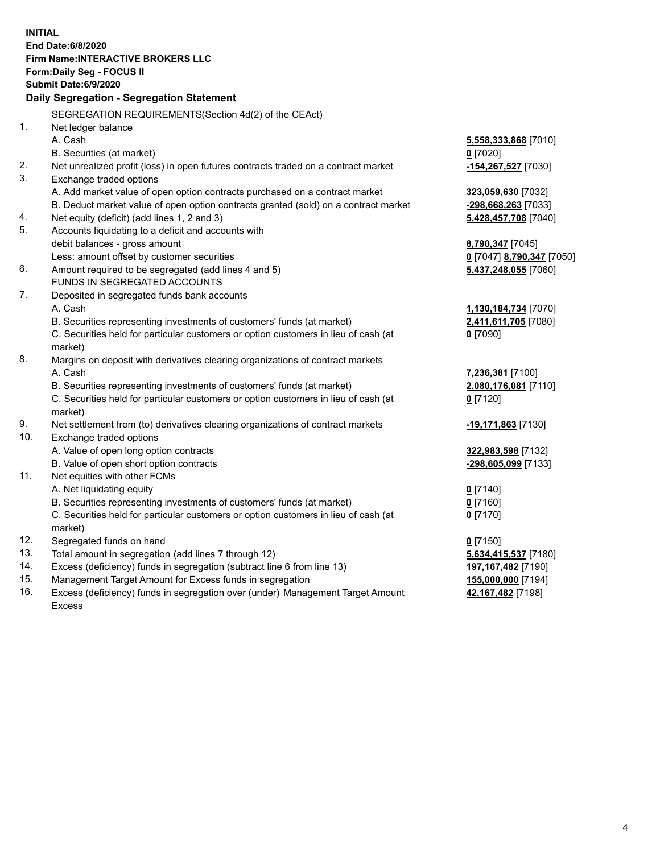**INITIAL End Date:6/8/2020 Firm Name:INTERACTIVE BROKERS LLC Form:Daily Seg - FOCUS II Submit Date:6/9/2020 Daily Segregation - Segregation Statement** SEGREGATION REQUIREMENTS(Section 4d(2) of the CEAct) 1. Net ledger balance A. Cash **5,558,333,868** [7010] B. Securities (at market) **0** [7020] 2. Net unrealized profit (loss) in open futures contracts traded on a contract market **-154,267,527** [7030] 3. Exchange traded options A. Add market value of open option contracts purchased on a contract market **323,059,630** [7032] B. Deduct market value of open option contracts granted (sold) on a contract market **-298,668,263** [7033] 4. Net equity (deficit) (add lines 1, 2 and 3) **5,428,457,708** [7040] 5. Accounts liquidating to a deficit and accounts with debit balances - gross amount **8,790,347** [7045] Less: amount offset by customer securities **0** [7047] **8,790,347** [7050] 6. Amount required to be segregated (add lines 4 and 5) **5,437,248,055** [7060] FUNDS IN SEGREGATED ACCOUNTS 7. Deposited in segregated funds bank accounts A. Cash **1,130,184,734** [7070] B. Securities representing investments of customers' funds (at market) **2,411,611,705** [7080] C. Securities held for particular customers or option customers in lieu of cash (at market) **0** [7090] 8. Margins on deposit with derivatives clearing organizations of contract markets A. Cash **7,236,381** [7100] B. Securities representing investments of customers' funds (at market) **2,080,176,081** [7110] C. Securities held for particular customers or option customers in lieu of cash (at market) **0** [7120] 9. Net settlement from (to) derivatives clearing organizations of contract markets **-19,171,863** [7130] 10. Exchange traded options A. Value of open long option contracts **322,983,598** [7132] B. Value of open short option contracts **-298,605,099** [7133] 11. Net equities with other FCMs A. Net liquidating equity **0** [7140] B. Securities representing investments of customers' funds (at market) **0** [7160] C. Securities held for particular customers or option customers in lieu of cash (at market) **0** [7170] 12. Segregated funds on hand **0** [7150] 13. Total amount in segregation (add lines 7 through 12) **5,634,415,537** [7180] 14. Excess (deficiency) funds in segregation (subtract line 6 from line 13) **197,167,482** [7190] 15. Management Target Amount for Excess funds in segregation **155,000,000** [7194] 16. Excess (deficiency) funds in segregation over (under) Management Target Amount Excess **42,167,482** [7198]